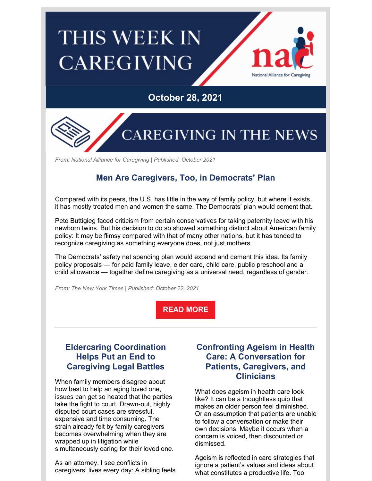# THIS WEEK IN **CAREGIVING**



# **October 28, 2021**



*From: National Alliance for Caregiving | Published: October 2021*

# **Men Are Caregivers, Too, in Democrats' Plan**

Compared with its peers, the U.S. has little in the way of family policy, but where it exists, it has mostly treated men and women the same. The Democrats' plan would cement that.

Pete Buttigieg faced criticism from certain conservatives for taking paternity leave with his newborn twins. But his decision to do so showed something distinct about American family policy: It may be flimsy compared with that of many other nations, but it has tended to recognize caregiving as something everyone does, not just mothers.

The Democrats' safety net spending plan would expand and cement this idea. Its family policy proposals — for paid family leave, elder care, child care, public preschool and a child allowance — together define caregiving as a universal need, regardless of gender.

*From: The New York Times | Published: October 22, 2021*

### **READ [MORE](https://www.nytimes.com/2021/10/22/upshot/biden-caregivers-family-plan.html)**

# **Eldercaring Coordination Helps Put an End to Caregiving Legal Battles**

When family members disagree about how best to help an aging loved one, issues can get so heated that the parties take the fight to court. Drawn-out, highly disputed court cases are stressful, expensive and time consuming. The strain already felt by family caregivers becomes overwhelming when they are wrapped up in litigation while simultaneously caring for their loved one.

As an attorney, I see conflicts in caregivers' lives every day: A sibling feels

# **Confronting Ageism in Health Care: A Conversation for Patients, Caregivers, and Clinicians**

What does ageism in health care look like? It can be a thoughtless quip that makes an older person feel diminished. Or an assumption that patients are unable to follow a conversation or make their own decisions. Maybe it occurs when a concern is voiced, then discounted or dismissed.

Ageism is reflected in care strategies that ignore a patient's values and ideas about what constitutes a productive life. Too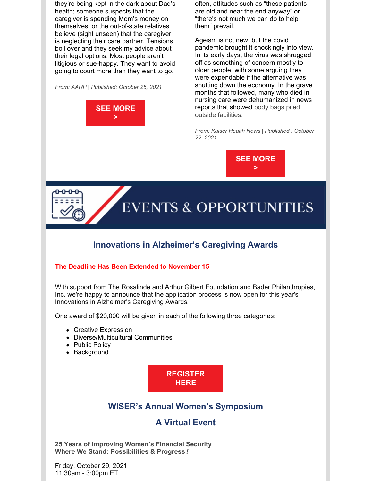they're being kept in the dark about Dad's health; someone suspects that the caregiver is spending Mom's money on themselves; or the out-of-state relatives believe (sight unseen) that the caregiver is neglecting their care partner. Tensions boil over and they seek my advice about their legal options. Most people aren't litigious or sue-happy. They want to avoid going to court more than they want to go.

*From: AARP | Published: October 25, 2021*



often, attitudes such as "these patients are old and near the end anyway" or "there's not much we can do to help them" prevail.

Ageism is not new, but the covid pandemic brought it shockingly into view. In its early days, the virus was shrugged off as something of concern mostly to older people, with some arguing they were expendable if the alternative was shutting down the economy. In the grave months that followed, many who died in nursing care were dehumanized in news reports that showed body bags piled outside facilities.

*From: Kaiser Health News | Published : October 22, 2021*





# **Innovations in Alzheimer's Caregiving Awards**

#### **The Deadline Has Been Extended to November 15**

With support from The Rosalinde and Arthur Gilbert Foundation and Bader Philanthropies, Inc. we're happy to announce that the application process is now open for this year's Innovations in Alzheimer's Caregiving Awards.

One award of \$20,000 will be given in each of the following three categories:

- Creative Expression
- Diverse/Multicultural Communities
- Public Policy
- Background

**[REGISTER](https://www.caregiver.org/research-policy/alzheimers-caregiving-innovations-awards/) HERE**

### **WISER's Annual Women's Symposium**

### **A Virtual Event**

**25 Years of Improving Women's Financial Security Where We Stand: Possibilities & Progress** *!*

Friday, October 29, 2021 11:30am - 3:00pm ET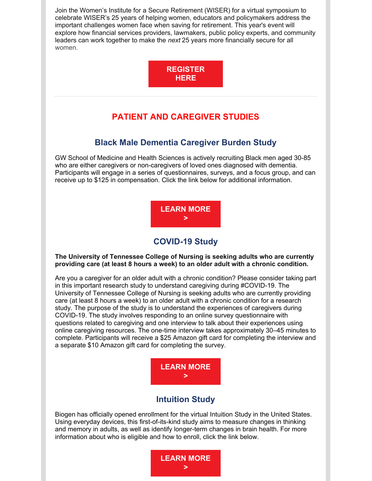Join the Women's Institute for a Secure Retirement (WISER) for a virtual symposium to celebrate WISER's 25 years of helping women, educators and policymakers address the important challenges women face when saving for retirement. This year's event will explore how financial services providers, lawmakers, public policy experts, and community leaders can work together to make the *next* 25 years more financially secure for all women.



# **PATIENT AND CAREGIVER STUDIES**

# **Black Male Dementia Caregiver Burden Study**

GW School of Medicine and Health Sciences is actively recruiting Black men aged 30-85 who are either caregivers or non-caregivers of loved ones diagnosed with dementia. Participants will engage in a series of questionnaires, surveys, and a focus group, and can receive up to \$125 in compensation. Click the link below for additional information.

> **[LEARN](https://smhsgwu.co1.qualtrics.com/jfe/form/SV_9SPFjnwprvuEXS6) MORE >**

# **COVID-19 Study**

**The University of Tennessee College of Nursing is seeking adults who are currently providing care (at least 8 hours a week) to an older adult with a chronic condition.**

Are you a caregiver for an older adult with a chronic condition? Please consider taking part in this important research study to understand caregiving during #COVID-19. The University of Tennessee College of Nursing is seeking adults who are currently providing care (at least 8 hours a week) to an older adult with a chronic condition for a research study. The purpose of the study is to understand the experiences of caregivers during COVID-19. The study involves responding to an online survey questionnaire with questions related to caregiving and one interview to talk about their experiences using online caregiving resources. The one-time interview takes approximately 30–45 minutes to complete. Participants will receive a \$25 Amazon gift card for completing the interview and a separate \$10 Amazon gift card for completing the survey.



### **Intuition Study**

Biogen has officially opened enrollment for the virtual Intuition Study in the United States. Using everyday devices, this first-of-its-kind study aims to measure changes in thinking and memory in adults, as well as identify longer-term changes in brain health. For more information about who is eligible and how to enroll, click the link below.

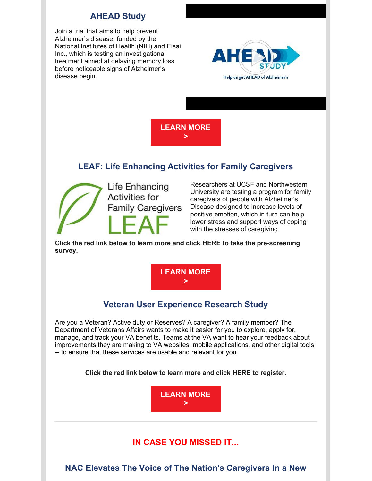# **AHEAD Study**

Join a trial that aims to help prevent Alzheimer's disease, funded by the National Institutes of Health (NIH) and Eisai Inc., which is testing an investigational treatment aimed at delaying memory loss before noticeable signs of Alzheimer's disease begin.



**[LEARN](https://www.aheadstudy.org/) MORE >**

# **LEAF: Life Enhancing Activities for Family Caregivers**



Researchers at UCSF and Northwestern University are testing a program for family caregivers of people with Alzheimer's Disease designed to increase levels of positive emotion, which in turn can help lower stress and support ways of coping with the stresses of caregiving.

**Click the red link below to learn more and click [HERE](https://redcap.nubic.northwestern.edu/redcap/surveys/index.php?s=4HRKK7JMCX) to take the pre-screening survey.**



# **Veteran User Experience Research Study**

Are you a Veteran? Active duty or Reserves? A caregiver? A family member? The Department of Veterans Affairs wants to make it easier for you to explore, apply for, manage, and track your VA benefits. Teams at the VA want to hear your feedback about improvements they are making to VA websites, mobile applications, and other digital tools -- to ensure that these services are usable and relevant for you.

**Click the red link below to learn more and click [HERE](https://perigeantechnologies.knack.com/vausability-register-form) to register.**

**[LEARN](https://veteranusability.us/) MORE >**

# **IN CASE YOU MISSED IT...**

**NAC Elevates The Voice of The Nation's Caregivers In a New**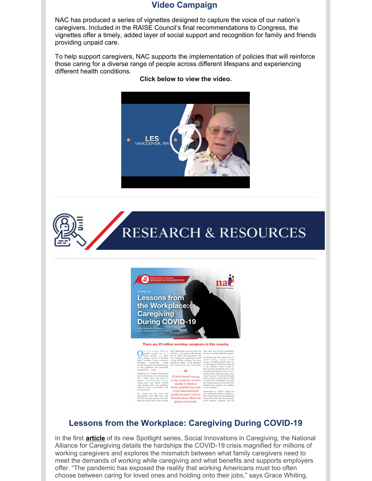### **Video Campaign**

NAC has produced a series of vignettes designed to capture the voice of our nation's caregivers. Included in the RAISE Council's final recommendations to Congress, the vignettes offer a timely, added layer of social support and recognition for family and friends providing unpaid care.

To help support caregivers, NAC supports the implementation of policies that will reinforce those caring for a diverse range of people across different lifespans and experiencing different health conditions.

#### **Click below to view the video.**







#### There are 23 million working caregivers in this country.

n't have to go over what<br>. and going to HR for<br>ublic and impersonal,"  $\epsilon$ I'd find myself staring at my computer screen,<br>unable to think at elect care, assistance<br>  $\begin{array}{ll}\n\text{else:} & \text{for } \text{definite} \\
\text{else:} & \text{if } \text{arg} \text{ } \text{def} \\
\text{else:} & \text{if } \text{arg} \text{ } \text{def} \\
\text{else:} & \text{if } \text{arg} \text{ } \text{def} \\
\text{circle:} & \text{if } \text{arg} \text{ } \text{def} \\
\text{circle:} & \text{if } \text{arg} \text{ } \text{def} \\
\text{circle:} & \text{if } \text{arg} \text{ } \text{def} \\
\text{circle:} & \$ going on at home.

# **Lessons from the Workplace: Caregiving During COVID-19**

In the first **[article](https://www.caregiving.org/lessons-from-the-workplace-caregiving-during-covid-19/)** of its new Spotlight series, Social Innovations in Caregiving, the National Alliance for Caregiving details the hardships the COVID-19 crisis magnified for millions of working caregivers and explores the mismatch between what family caregivers need to meet the demands of working while caregiving and what benefits and supports employers offer. "The pandemic has exposed the reality that working Americans must too often choose between caring for loved ones and holding onto their jobs," says Grace Whiting,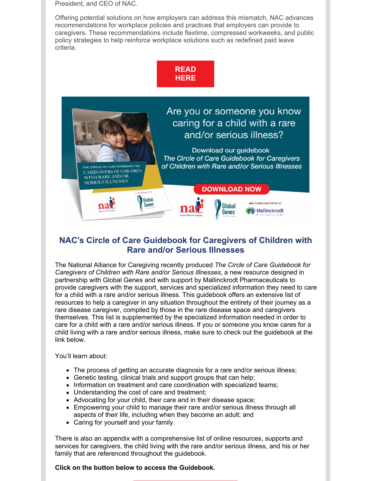President, and CEO of NAC.

Offering potential solutions on how employers can address this mismatch, NAC advances recommendations for workplace policies and practices that employers can provide to caregivers. These recommendations include flextime, compressed workweeks, and public policy strategies to help reinforce workplace solutions such as redefined paid leave criteria.





Global

Genes'

MADE POSSIBLE WITH SUPPORT BY

**Mallinckrodt** 

# **NAC's Circle of Care Guidebook for Caregivers of Children with Rare and/or Serious Illnesses**

Global

**Genes** 

nač

The National Alliance for Caregiving recently produced *The Circle of Care Guidebook for Caregivers of Children with Rare and/or Serious Illnesses*, a new resource designed in partnership with Global Genes and with support by Mallinckrodt Pharmaceuticals to provide caregivers with the support, services and specialized information they need to care for a child with a rare and/or serious illness. This guidebook offers an extensive list of resources to help a caregiver in any situation throughout the entirety of their journey as a rare disease caregiver, compiled by those in the rare disease space and caregivers themselves. This list is supplemented by the specialized information needed in order to care for a child with a rare and/or serious illness. If you or someone you know cares for a child living with a rare and/or serious illness, make sure to check out the guidebook at the link below.

You'll learn about:

- The process of getting an accurate diagnosis for a rare and/or serious illness;
- Genetic testing, clinical trials and support groups that can help;
- Information on treatment and care coordination with specialized teams;
- Understanding the cost of care and treatment;
- Advocating for your child, their care and in their disease space;
- Empowering your child to manage their rare and/or serious illness through all aspects of their life, including when they become an adult; and
- Caring for yourself and your family.

There is also an appendix with a comprehensive list of online resources, supports and services for caregivers, the child living with the rare and/or serious illness, and his or her family that are referenced throughout the guidebook.

#### **Click on the button below to access the Guidebook.**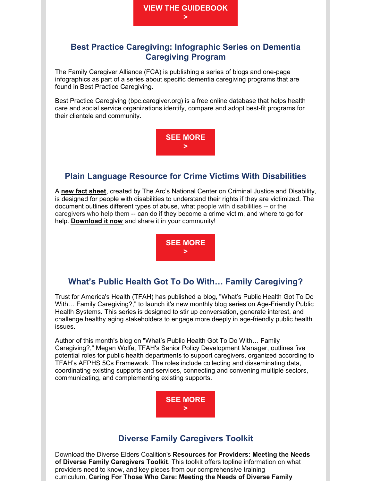# **Best Practice Caregiving: Infographic Series on Dementia Caregiving Program**

The Family Caregiver Alliance (FCA) is publishing a series of blogs and one-page infographics as part of a series about specific dementia caregiving programs that are found in Best Practice Caregiving.

Best Practice Caregiving (bpc.caregiver.org) is a free online database that helps health care and social service organizations identify, compare and adopt best-fit programs for their clientele and community.



# **Plain Language Resource for Crime Victims With Disabilities**

A **new fact [sheet](https://r20.rs6.net/tn.jsp?f=001LaEKxam1QR75UBBechdB6tGULJHx1-PKVXy6pu7lv-va8H1KyX9I-eam6I-UmDAj69ZDfGoh7L34FnAQxPnnyvPqgsyJe_bC1MJtdlHO78-pDhkHGX5YJs-zgDF2iQFh6xrlmCMkpMXOgvgclKIX71gLWrNa6D2lL4u4N8IZgcPu7eTegLDUt26RlBab95Ap3W8iLwqRYh4lu_y3noWzpbgaK_ES_Ldz8aJhrKaRDqsshErz7nuKuvihkluJfXaQrW-U0GH4uqt0E7I3rcekCPn-MZh0xY3RWP7wtmZ8txyIw17X1HSiZw==&c=iiA6A9mRl6dC7zcFr3McO7kEceKLW3sUO1C_ScQXdQ7XhVOICooYbg==&ch=Kxn7DIqf-oTEUk9V0I20WwYJ4T6skZTsqybYyaDgUSFGgGHvIk8osA==)**, created by The Arc's National Center on Criminal Justice and Disability, is designed for people with disabilities to understand their rights if they are victimized. The document outlines different types of abuse, what people with disabilities -- or the caregivers who help them -- can do if they become a crime victim, and where to go for help. **[Download](https://r20.rs6.net/tn.jsp?f=001LaEKxam1QR75UBBechdB6tGULJHx1-PKVXy6pu7lv-va8H1KyX9I-eam6I-UmDAj69ZDfGoh7L34FnAQxPnnyvPqgsyJe_bC1MJtdlHO78-pDhkHGX5YJs-zgDF2iQFh6xrlmCMkpMXOgvgclKIX71gLWrNa6D2lL4u4N8IZgcPu7eTegLDUt26RlBab95Ap3W8iLwqRYh4lu_y3noWzpbgaK_ES_Ldz8aJhrKaRDqsshErz7nuKuvihkluJfXaQrW-U0GH4uqt0E7I3rcekCPn-MZh0xY3RWP7wtmZ8txyIw17X1HSiZw==&c=iiA6A9mRl6dC7zcFr3McO7kEceKLW3sUO1C_ScQXdQ7XhVOICooYbg==&ch=Kxn7DIqf-oTEUk9V0I20WwYJ4T6skZTsqybYyaDgUSFGgGHvIk8osA==) it now** and share it in your community!



# **What's Public Health Got To Do With… Family Caregiving?**

Trust for America's Health (TFAH) has published a [blog](https://afphs.org/whats-public-health-got-to-do-with-healthy-aging/), "What's Public Health Got To Do With... Family Caregiving?," to launch it's new monthly blog series on Age-Friendly Public Health Systems. This series is designed to stir up conversation, generate interest, and challenge healthy aging stakeholders to engage more deeply in age-friendly public health issues.

Author of this month's blog on "What's Public Health Got To Do With… Family Caregiving?," Megan Wolfe, TFAH's Senior Policy Development Manager, outlines five potential roles for public health departments to support caregivers, organized according to TFAH's AFPHS 5Cs Framework. The roles include collecting and disseminating data, coordinating existing supports and services, connecting and convening multiple sectors, communicating, and complementing existing supports.



# **Diverse Family Caregivers Toolkit**

Download the Diverse Elders Coalition's **[Resources](https://www.diverseelders.org/wp-content/uploads/2021/03/DEC-Toolkit-Final-R2.pdf) for Providers: Meeting the Needs of Diverse Family Caregivers Toolkit**. This toolkit offers topline information on what providers need to know, and key pieces from our comprehensive training [curriculum,](https://www.diverseelders.org/caregiving/#request) **Caring For Those Who Care: Meeting the Needs of Diverse Family**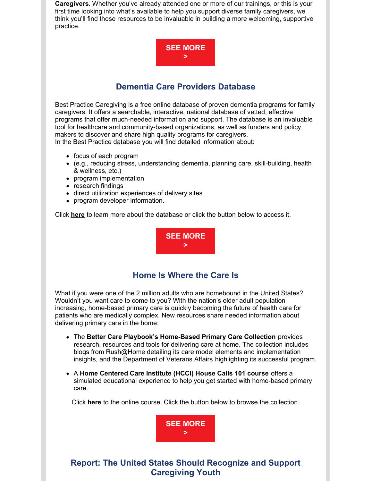**Caregivers**. Whether you've already attended one or more of our trainings, or this is your first time looking into what's available to help you support diverse family caregivers, we think you'll find these resources to be invaluable in building a more welcoming, supportive practice.



# **Dementia Care Providers Database**

Best Practice Caregiving is a free online database of proven dementia programs for family caregivers. It offers a searchable, interactive, national database of vetted, effective programs that offer much-needed information and support. The database is an invaluable tool for healthcare and community-based organizations, as well as funders and policy makers to discover and share high quality programs for caregivers. In the Best Practice database you will find detailed information about:

- focus of each program
- (e.g., reducing stress, understanding dementia, planning care, skill-building, health & wellness, etc.)
- program implementation
- research findings
- direct utilization experiences of delivery sites
- program developer information.

Click **[here](https://bpc.caregiver.org/#howToUse)** to learn more about the database or click the button below to access it.



### **Home Is Where the Care Is**

What if you were one of the 2 million adults who are homebound in the United States? Wouldn't you want care to come to you? With the nation's older adult population increasing, home-based primary care is quickly becoming the future of health care for patients who are medically complex. New resources share needed information about delivering primary care in the home:

- The **Better Care Playbook's [Home-Based](https://na01.safelinks.protection.outlook.com/?url=https%3A%2F%2Fjohnahartford.us6.list-manage.com%2Ftrack%2Fclick%3Fu%3D1e7fafb45696f7675cb6f775b%26id%3D25763f733d%26e%3Dd7ac497e02&data=04%7C01%7C%7Ca8916e4db36a42945f8108d94de8ff3b%7C84df9e7fe9f640afb435aaaaaaaaaaaa%7C1%7C0%7C637626485377970424%7CUnknown%7CTWFpbGZsb3d8eyJWIjoiMC4wLjAwMDAiLCJQIjoiV2luMzIiLCJBTiI6Ik1haWwiLCJXVCI6Mn0%3D%7C1000&sdata=udV6KTIHUDHAtJQHC%2BPhEJPCqUoTS1UZJ%2F6%2FqwdKrts%3D&reserved=0) Primary Care Collection** provides research, resources and tools for delivering care at home. The collection includes blogs from [Rush@Home](https://na01.safelinks.protection.outlook.com/?url=https%3A%2F%2Fjohnahartford.us6.list-manage.com%2Ftrack%2Fclick%3Fu%3D1e7fafb45696f7675cb6f775b%26id%3D38af92e967%26e%3Dd7ac497e02&data=04%7C01%7C%7Ca8916e4db36a42945f8108d94de8ff3b%7C84df9e7fe9f640afb435aaaaaaaaaaaa%7C1%7C0%7C637626485377980379%7CUnknown%7CTWFpbGZsb3d8eyJWIjoiMC4wLjAwMDAiLCJQIjoiV2luMzIiLCJBTiI6Ik1haWwiLCJXVCI6Mn0%3D%7C1000&sdata=x26a%2BL8kOCeoUsz9La4ziHNTJGAQEILcDEuFV0L85ek%3D&reserved=0) detailing its care model elements and implementation insights, and the [Department](https://na01.safelinks.protection.outlook.com/?url=https%3A%2F%2Fjohnahartford.us6.list-manage.com%2Ftrack%2Fclick%3Fu%3D1e7fafb45696f7675cb6f775b%26id%3D075225bc90%26e%3Dd7ac497e02&data=04%7C01%7C%7Ca8916e4db36a42945f8108d94de8ff3b%7C84df9e7fe9f640afb435aaaaaaaaaaaa%7C1%7C0%7C637626485377980379%7CUnknown%7CTWFpbGZsb3d8eyJWIjoiMC4wLjAwMDAiLCJQIjoiV2luMzIiLCJBTiI6Ik1haWwiLCJXVCI6Mn0%3D%7C1000&sdata=Eq7ap%2FaO00go5MQqmerVoRtqt9ptPVF5JbxcEAvcthQ%3D&reserved=0) of Veterans Affairs highlighting its successful program.
- A **Home [Centered](https://na01.safelinks.protection.outlook.com/?url=https%3A%2F%2Fjohnahartford.us6.list-manage.com%2Ftrack%2Fclick%3Fu%3D1e7fafb45696f7675cb6f775b%26id%3Da00b23da86%26e%3Dd7ac497e02&data=04%7C01%7C%7Ca8916e4db36a42945f8108d94de8ff3b%7C84df9e7fe9f640afb435aaaaaaaaaaaa%7C1%7C0%7C637626485377990336%7CUnknown%7CTWFpbGZsb3d8eyJWIjoiMC4wLjAwMDAiLCJQIjoiV2luMzIiLCJBTiI6Ik1haWwiLCJXVCI6Mn0%3D%7C1000&sdata=9jdXOh8uF5cuzHKtE5GNSR3u%2B2AqtlCTAoTZPG1unHc%3D&reserved=0) Care Institute (HCCI) House Calls 101 course** offers a simulated educational experience to help you get started with home-based primary care.

Click **[here](https://education.hccinstitute.org/Public/Catalog/Details.aspx?id=6PvnK37kE5jDvb%2BUNRQkXg%3D%3D)** to the online course. Click the button below to browse the collection.



# **Report: The United States Should Recognize and Support Caregiving Youth**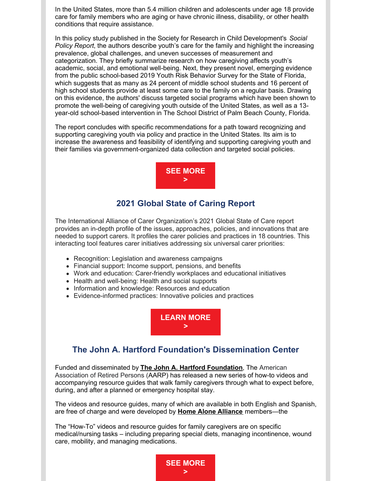In the United States, more than 5.4 million children and adolescents under age 18 provide care for family members who are aging or have chronic illness, disability, or other health conditions that require assistance.

In this policy study published in the Society for Research in Child Development's *Social Policy Report*, the authors describe youth's care for the family and highlight the increasing prevalence, global challenges, and uneven successes of measurement and categorization. They briefly summarize research on how caregiving affects youth's academic, social, and emotional well-being. Next, they present novel, emerging evidence from the public school-based 2019 Youth Risk Behavior Survey for the State of Florida, which suggests that as many as 24 percent of middle school students and 16 percent of high school students provide at least some care to the family on a regular basis. Drawing on this evidence, the authors' discuss targeted social programs which have been shown to promote the well-being of caregiving youth outside of the United States, as well as a 13 year-old school-based intervention in The School District of Palm Beach County, Florida.

The report concludes with specific recommendations for a path toward recognizing and supporting caregiving youth via policy and practice in the United States. Its aim is to increase the awareness and feasibility of identifying and supporting caregiving youth and their families via government-organized data collection and targeted social policies.



### **2021 Global State of Caring Report**

The International Alliance of Carer Organization's 2021 Global State of Care report provides an in-depth profile of the issues, approaches, policies, and innovations that are needed to support carers. It profiles the carer policies and practices in 18 countries. This interacting tool features carer initiatives addressing six universal carer priorities:

- Recognition: Legislation and awareness campaigns
- Financial support: Income support, pensions, and benefits
- Work and education: Carer-friendly workplaces and educational initiatives
- Health and well-being: Health and social supports
- Information and knowledge: Resources and education
- Evidence-informed practices: Innovative policies and practices



# **The John A. Hartford Foundation's Dissemination Center**

Funded and disseminated by **The John A. Hartford [Foundation](https://www.johnahartford.org/dissemination-center/)**, The American Association of Retired Persons (AARP) has released a new series of how-to videos and accompanying resource guides that walk family caregivers through what to expect before, during, and after a planned or emergency hospital stay.

The videos and resource guides, many of which are available in both English and Spanish, are free of charge and were developed by **Home Alone [Alliance](https://www.aarp.org/ppi/initiatives/home-alone-alliance/)** members—the

The "How-To" videos and resource guides for family caregivers are on specific medical/nursing tasks – including preparing special diets, managing incontinence, wound care, mobility, and managing medications.